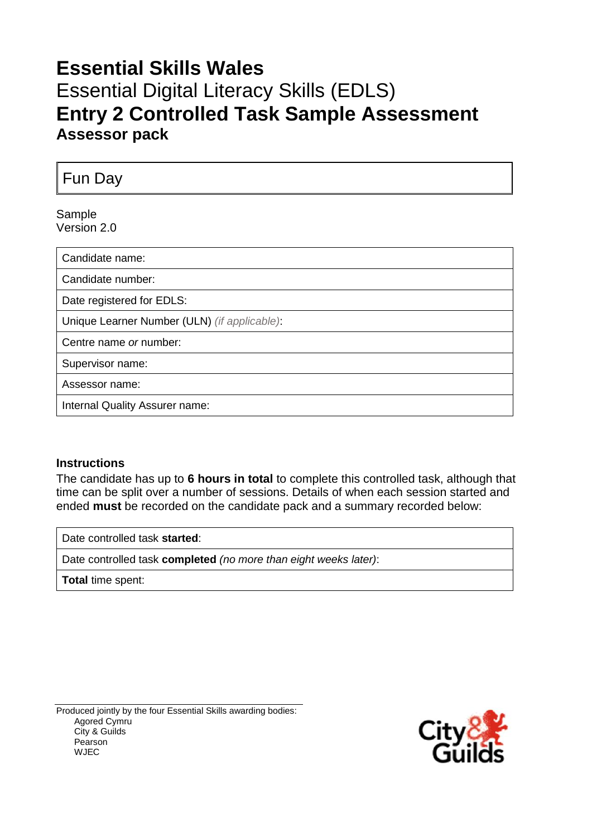## **Essential Skills Wales** Essential Digital Literacy Skills (EDLS) **Entry 2 Controlled Task Sample Assessment Assessor pack**

Fun Day

#### Sample Version 2.0

| Candidate name:                              |
|----------------------------------------------|
| Candidate number:                            |
| Date registered for EDLS:                    |
| Unique Learner Number (ULN) (if applicable): |
| Centre name or number:                       |
| Supervisor name:                             |
| Assessor name:                               |
| Internal Quality Assurer name:               |

### **Instructions**

The candidate has up to **6 hours in total** to complete this controlled task, although that time can be split over a number of sessions. Details of when each session started and ended **must** be recorded on the candidate pack and a summary recorded below:

Date controlled task **started**:

Date controlled task **completed** *(no more than eight weeks later)*:

**Total** time spent:

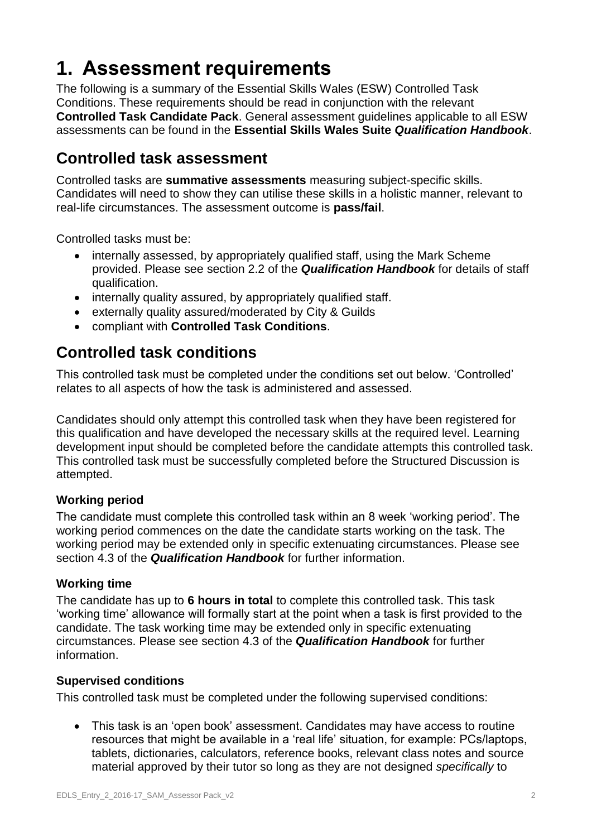# **1. Assessment requirements**

The following is a summary of the Essential Skills Wales (ESW) Controlled Task Conditions. These requirements should be read in conjunction with the relevant **Controlled Task Candidate Pack**. General assessment guidelines applicable to all ESW assessments can be found in the **Essential Skills Wales Suite** *Qualification Handbook*.

### **Controlled task assessment**

Controlled tasks are **summative assessments** measuring subject-specific skills. Candidates will need to show they can utilise these skills in a holistic manner, relevant to real-life circumstances. The assessment outcome is **pass/fail**.

Controlled tasks must be:

- internally assessed, by appropriately qualified staff, using the Mark Scheme provided. Please see section 2.2 of the *Qualification Handbook* for details of staff qualification.
- internally quality assured, by appropriately qualified staff.
- externally quality assured/moderated by City & Guilds
- compliant with **Controlled Task Conditions**.

### **Controlled task conditions**

This controlled task must be completed under the conditions set out below. 'Controlled' relates to all aspects of how the task is administered and assessed.

Candidates should only attempt this controlled task when they have been registered for this qualification and have developed the necessary skills at the required level. Learning development input should be completed before the candidate attempts this controlled task. This controlled task must be successfully completed before the Structured Discussion is attempted.

### **Working period**

The candidate must complete this controlled task within an 8 week 'working period'. The working period commences on the date the candidate starts working on the task. The working period may be extended only in specific extenuating circumstances. Please see section 4.3 of the *Qualification Handbook* for further information.

### **Working time**

The candidate has up to **6 hours in total** to complete this controlled task. This task 'working time' allowance will formally start at the point when a task is first provided to the candidate. The task working time may be extended only in specific extenuating circumstances. Please see section 4.3 of the *Qualification Handbook* for further information.

### **Supervised conditions**

This controlled task must be completed under the following supervised conditions:

 This task is an 'open book' assessment. Candidates may have access to routine resources that might be available in a 'real life' situation, for example: PCs/laptops, tablets, dictionaries, calculators, reference books, relevant class notes and source material approved by their tutor so long as they are not designed *specifically* to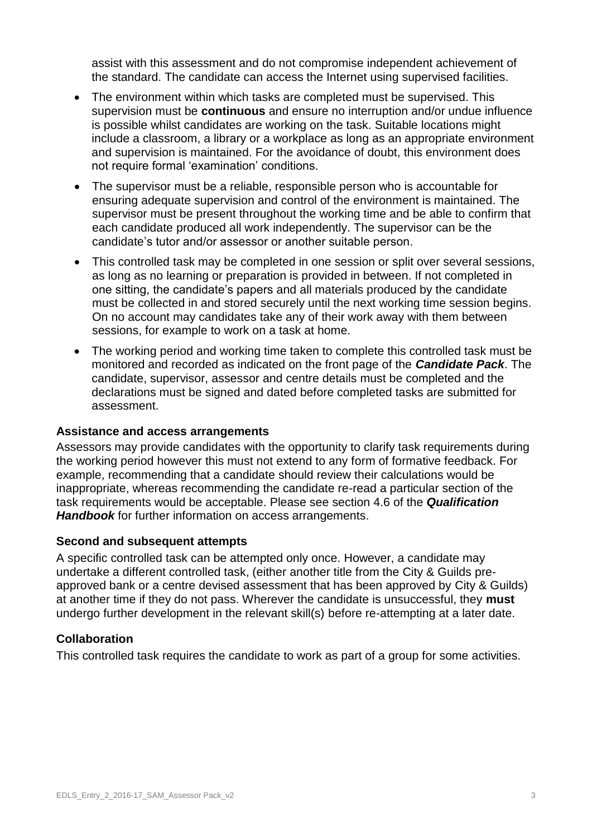assist with this assessment and do not compromise independent achievement of the standard. The candidate can access the Internet using supervised facilities.

- The environment within which tasks are completed must be supervised. This supervision must be **continuous** and ensure no interruption and/or undue influence is possible whilst candidates are working on the task. Suitable locations might include a classroom, a library or a workplace as long as an appropriate environment and supervision is maintained. For the avoidance of doubt, this environment does not require formal 'examination' conditions.
- The supervisor must be a reliable, responsible person who is accountable for ensuring adequate supervision and control of the environment is maintained. The supervisor must be present throughout the working time and be able to confirm that each candidate produced all work independently. The supervisor can be the candidate's tutor and/or assessor or another suitable person.
- This controlled task may be completed in one session or split over several sessions, as long as no learning or preparation is provided in between. If not completed in one sitting, the candidate's papers and all materials produced by the candidate must be collected in and stored securely until the next working time session begins. On no account may candidates take any of their work away with them between sessions, for example to work on a task at home.
- The working period and working time taken to complete this controlled task must be monitored and recorded as indicated on the front page of the *Candidate Pack*. The candidate, supervisor, assessor and centre details must be completed and the declarations must be signed and dated before completed tasks are submitted for assessment.

### **Assistance and access arrangements**

Assessors may provide candidates with the opportunity to clarify task requirements during the working period however this must not extend to any form of formative feedback. For example, recommending that a candidate should review their calculations would be inappropriate, whereas recommending the candidate re-read a particular section of the task requirements would be acceptable. Please see section 4.6 of the *Qualification Handbook* for further information on access arrangements.

### **Second and subsequent attempts**

A specific controlled task can be attempted only once. However, a candidate may undertake a different controlled task, (either another title from the City & Guilds preapproved bank or a centre devised assessment that has been approved by City & Guilds) at another time if they do not pass. Wherever the candidate is unsuccessful, they **must** undergo further development in the relevant skill(s) before re-attempting at a later date.

### **Collaboration**

This controlled task requires the candidate to work as part of a group for some activities.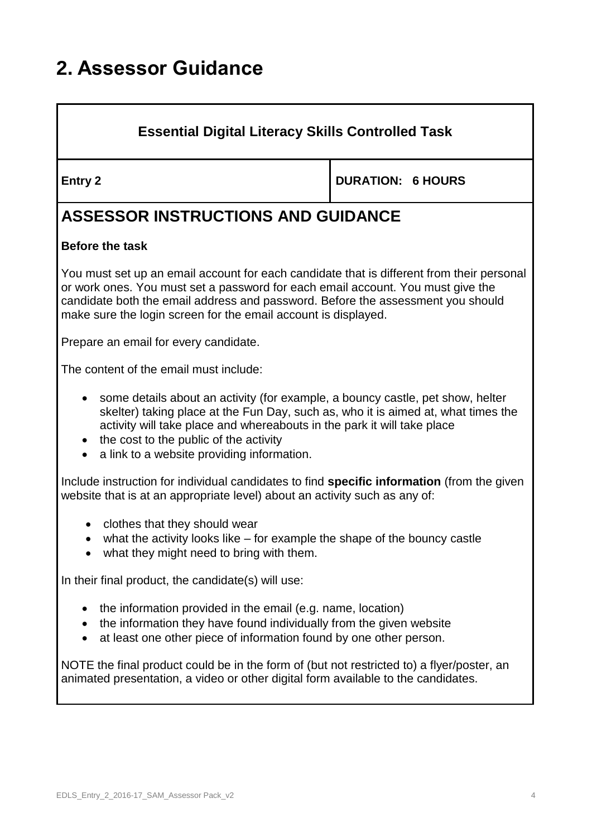# **2. Assessor Guidance**

### **Essential Digital Literacy Skills Controlled Task**

**Entry 2 DURATION: 6 HOURS** 

## **ASSESSOR INSTRUCTIONS AND GUIDANCE**

### **Before the task**

You must set up an email account for each candidate that is different from their personal or work ones. You must set a password for each email account. You must give the candidate both the email address and password. Before the assessment you should make sure the login screen for the email account is displayed.

Prepare an email for every candidate.

The content of the email must include:

- some details about an activity (for example, a bouncy castle, pet show, helter skelter) taking place at the Fun Day, such as, who it is aimed at, what times the activity will take place and whereabouts in the park it will take place
- $\bullet$  the cost to the public of the activity
- a link to a website providing information.

Include instruction for individual candidates to find **specific information** (from the given website that is at an appropriate level) about an activity such as any of:

- clothes that they should wear
- what the activity looks like for example the shape of the bouncy castle
- what they might need to bring with them.

In their final product, the candidate(s) will use:

- $\bullet$  the information provided in the email (e.g. name, location)
- the information they have found individually from the given website
- at least one other piece of information found by one other person.

NOTE the final product could be in the form of (but not restricted to) a flyer/poster, an animated presentation, a video or other digital form available to the candidates.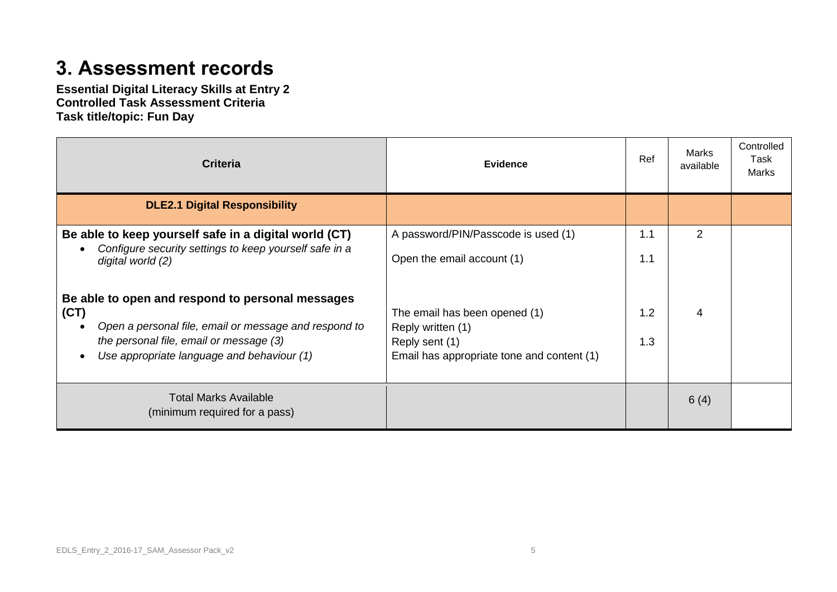## **3. Assessment records**

**Essential Digital Literacy Skills at Entry 2 Controlled Task Assessment Criteria Task title/topic: Fun Day**

| <b>Criteria</b>                                                             | <b>Evidence</b>                                    | Ref | Marks<br>available | Controlled<br>Task<br>Marks |
|-----------------------------------------------------------------------------|----------------------------------------------------|-----|--------------------|-----------------------------|
| <b>DLE2.1 Digital Responsibility</b>                                        |                                                    |     |                    |                             |
| Be able to keep yourself safe in a digital world (CT)                       | A password/PIN/Passcode is used (1)                | 1.1 | $\overline{2}$     |                             |
| Configure security settings to keep yourself safe in a<br>digital world (2) | Open the email account (1)                         | 1.1 |                    |                             |
| Be able to open and respond to personal messages                            |                                                    |     |                    |                             |
| (CT)<br>Open a personal file, email or message and respond to               | The email has been opened (1)<br>Reply written (1) | 1.2 | 4                  |                             |
| the personal file, email or message (3)                                     | Reply sent (1)                                     | 1.3 |                    |                             |
| Use appropriate language and behaviour (1)                                  | Email has appropriate tone and content (1)         |     |                    |                             |
| <b>Total Marks Available</b><br>(minimum required for a pass)               |                                                    |     | 6(4)               |                             |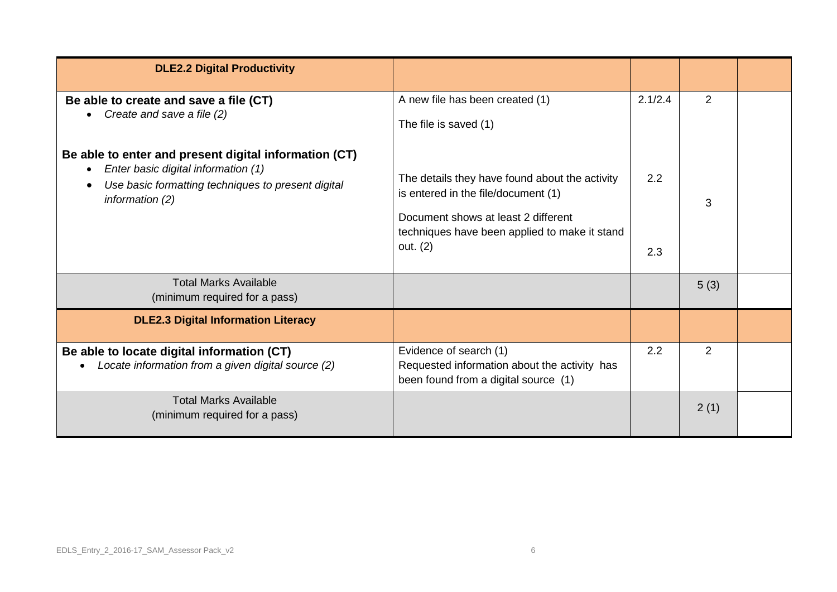| <b>DLE2.2 Digital Productivity</b>                                                                                                                                      |                                                                                                                                                                                           |            |      |  |
|-------------------------------------------------------------------------------------------------------------------------------------------------------------------------|-------------------------------------------------------------------------------------------------------------------------------------------------------------------------------------------|------------|------|--|
| Be able to create and save a file (CT)<br>Create and save a file (2)<br>$\bullet$                                                                                       | A new file has been created (1)<br>The file is saved (1)                                                                                                                                  | 2.1/2.4    | 2    |  |
| Be able to enter and present digital information (CT)<br>Enter basic digital information (1)<br>Use basic formatting techniques to present digital<br>information $(2)$ | The details they have found about the activity<br>is entered in the file/document (1)<br>Document shows at least 2 different<br>techniques have been applied to make it stand<br>out. (2) | 2.2<br>2.3 | 3    |  |
| <b>Total Marks Available</b><br>(minimum required for a pass)                                                                                                           |                                                                                                                                                                                           |            | 5(3) |  |
| <b>DLE2.3 Digital Information Literacy</b>                                                                                                                              |                                                                                                                                                                                           |            |      |  |
| Be able to locate digital information (CT)<br>Locate information from a given digital source (2)<br>$\bullet$                                                           | Evidence of search (1)<br>Requested information about the activity has<br>been found from a digital source (1)                                                                            | 2.2        | 2    |  |
| <b>Total Marks Available</b><br>(minimum required for a pass)                                                                                                           |                                                                                                                                                                                           |            | 2(1) |  |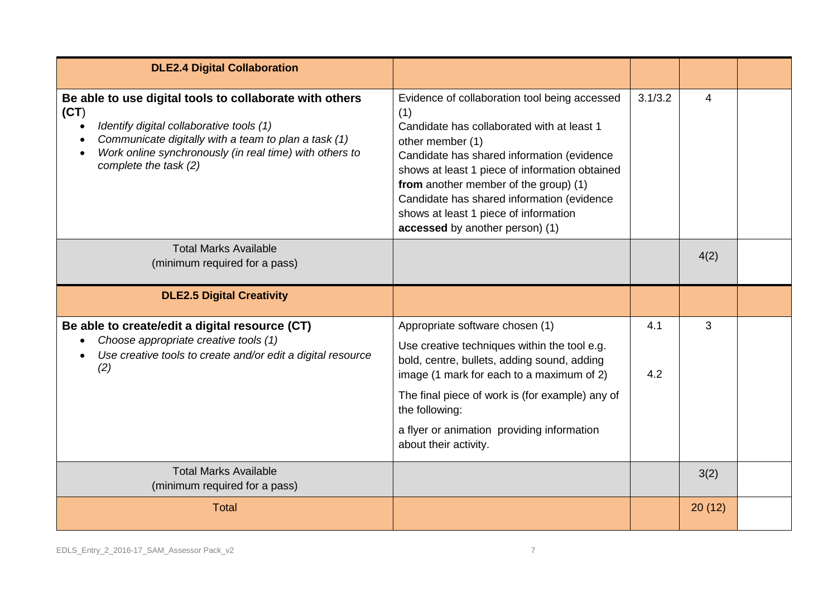| <b>DLE2.4 Digital Collaboration</b>                                                                                                                                                                                                                     |                                                                                                                                                                                                                                                                                                                                                                                           |            |        |  |
|---------------------------------------------------------------------------------------------------------------------------------------------------------------------------------------------------------------------------------------------------------|-------------------------------------------------------------------------------------------------------------------------------------------------------------------------------------------------------------------------------------------------------------------------------------------------------------------------------------------------------------------------------------------|------------|--------|--|
| Be able to use digital tools to collaborate with others<br>(CT)<br>Identify digital collaborative tools (1)<br>Communicate digitally with a team to plan a task (1)<br>Work online synchronously (in real time) with others to<br>complete the task (2) | Evidence of collaboration tool being accessed<br>(1)<br>Candidate has collaborated with at least 1<br>other member (1)<br>Candidate has shared information (evidence<br>shows at least 1 piece of information obtained<br>from another member of the group) (1)<br>Candidate has shared information (evidence<br>shows at least 1 piece of information<br>accessed by another person) (1) | 3.1/3.2    | 4      |  |
| <b>Total Marks Available</b><br>(minimum required for a pass)                                                                                                                                                                                           |                                                                                                                                                                                                                                                                                                                                                                                           |            | 4(2)   |  |
| <b>DLE2.5 Digital Creativity</b>                                                                                                                                                                                                                        |                                                                                                                                                                                                                                                                                                                                                                                           |            |        |  |
| Be able to create/edit a digital resource (CT)<br>Choose appropriate creative tools (1)<br>Use creative tools to create and/or edit a digital resource<br>(2)                                                                                           | Appropriate software chosen (1)<br>Use creative techniques within the tool e.g.<br>bold, centre, bullets, adding sound, adding<br>image (1 mark for each to a maximum of 2)<br>The final piece of work is (for example) any of<br>the following:<br>a flyer or animation providing information<br>about their activity.                                                                   | 4.1<br>4.2 | 3      |  |
| <b>Total Marks Available</b><br>(minimum required for a pass)                                                                                                                                                                                           |                                                                                                                                                                                                                                                                                                                                                                                           |            | 3(2)   |  |
| <b>Total</b>                                                                                                                                                                                                                                            |                                                                                                                                                                                                                                                                                                                                                                                           |            | 20(12) |  |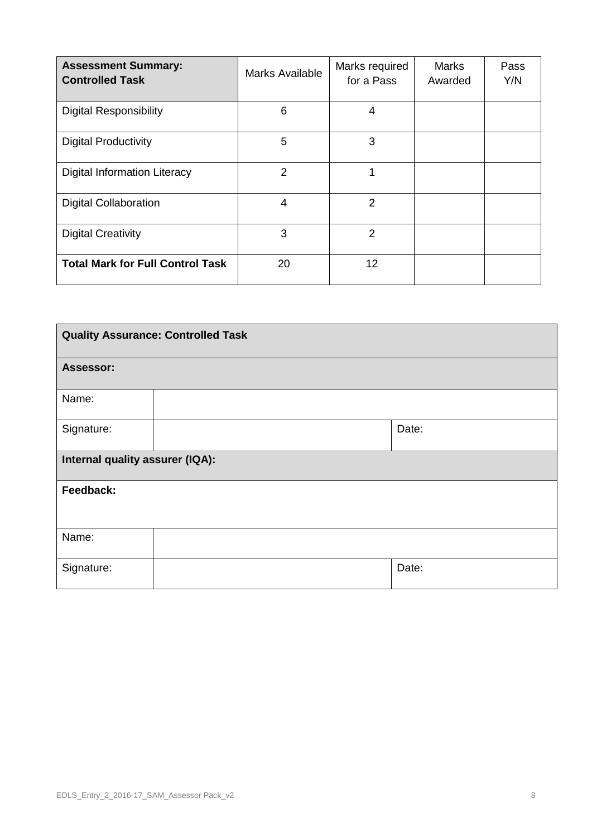| <b>Assessment Summary:</b><br><b>Controlled Task</b> | <b>Marks Available</b> | Marks required<br>for a Pass | <b>Marks</b><br>Awarded | Pass<br>Y/N |
|------------------------------------------------------|------------------------|------------------------------|-------------------------|-------------|
| <b>Digital Responsibility</b>                        | 6                      | 4                            |                         |             |
| <b>Digital Productivity</b>                          | 5                      | 3                            |                         |             |
| <b>Digital Information Literacy</b>                  | $\overline{2}$         | 1                            |                         |             |
| <b>Digital Collaboration</b>                         | $\overline{4}$         | $\overline{2}$               |                         |             |
| <b>Digital Creativity</b>                            | 3                      | $\overline{2}$               |                         |             |
| <b>Total Mark for Full Control Task</b>              | 20                     | 12                           |                         |             |

| <b>Quality Assurance: Controlled Task</b> |  |       |  |  |
|-------------------------------------------|--|-------|--|--|
| <b>Assessor:</b>                          |  |       |  |  |
| Name:                                     |  |       |  |  |
| Signature:                                |  | Date: |  |  |
| Internal quality assurer (IQA):           |  |       |  |  |
| Feedback:                                 |  |       |  |  |
| Name:                                     |  |       |  |  |
| Signature:                                |  | Date: |  |  |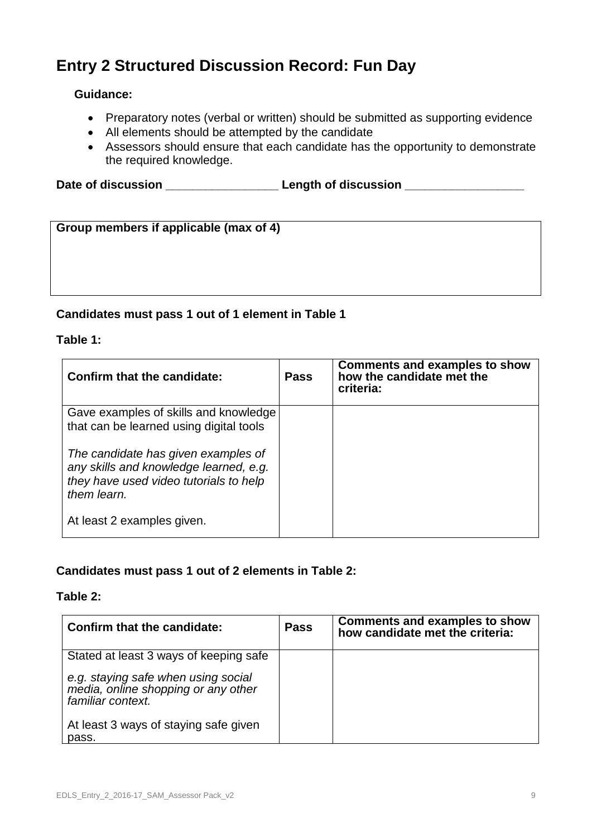## **Entry 2 Structured Discussion Record: Fun Day**

### **Guidance:**

- Preparatory notes (verbal or written) should be submitted as supporting evidence
- All elements should be attempted by the candidate
- Assessors should ensure that each candidate has the opportunity to demonstrate the required knowledge.

Date of discussion **Date of discussion** 

| Group members if applicable (max of 4) |  |
|----------------------------------------|--|
|                                        |  |
|                                        |  |
|                                        |  |
|                                        |  |

### **Candidates must pass 1 out of 1 element in Table 1**

### **Table 1:**

| Confirm that the candidate:                                                                                                            | <b>Pass</b> | <b>Comments and examples to show</b><br>how the candidate met the<br>criteria: |
|----------------------------------------------------------------------------------------------------------------------------------------|-------------|--------------------------------------------------------------------------------|
| Gave examples of skills and knowledge<br>that can be learned using digital tools                                                       |             |                                                                                |
| The candidate has given examples of<br>any skills and knowledge learned, e.g.<br>they have used video tutorials to help<br>them learn. |             |                                                                                |
| At least 2 examples given.                                                                                                             |             |                                                                                |

### **Candidates must pass 1 out of 2 elements in Table 2:**

### **Table 2:**

| <b>Confirm that the candidate:</b>                                                              | <b>Pass</b> | <b>Comments and examples to show</b><br>how candidate met the criteria: |
|-------------------------------------------------------------------------------------------------|-------------|-------------------------------------------------------------------------|
| Stated at least 3 ways of keeping safe                                                          |             |                                                                         |
| e.g. staying safe when using social<br>media, online shopping or any other<br>familiar context. |             |                                                                         |
| At least 3 ways of staying safe given<br>pass.                                                  |             |                                                                         |